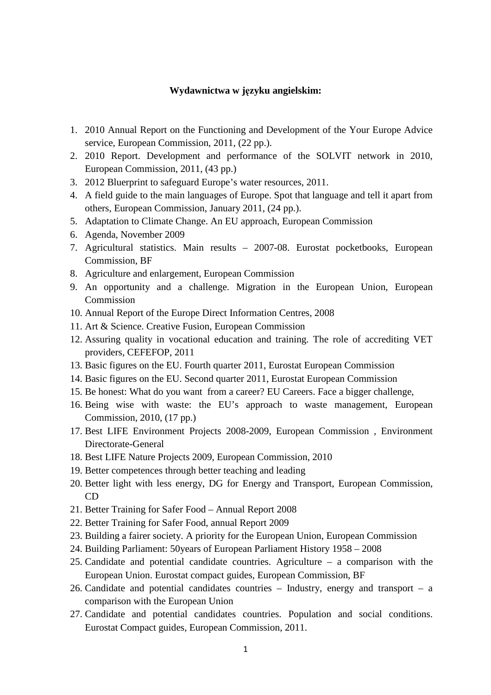## **Wydawnictwa w j**ę**zyku angielskim:**

- 1. 2010 Annual Report on the Functioning and Development of the Your Europe Advice service, European Commission, 2011, (22 pp.).
- 2. 2010 Report. Development and performance of the SOLVIT network in 2010, European Commission, 2011, (43 pp.)
- 3. 2012 Bluerprint to safeguard Europe's water resources, 2011.
- 4. A field guide to the main languages of Europe. Spot that language and tell it apart from others, European Commission, January 2011, (24 pp.).
- 5. Adaptation to Climate Change. An EU approach, European Commission
- 6. Agenda, November 2009
- 7. Agricultural statistics. Main results 2007-08. Eurostat pocketbooks, European Commission, BF
- 8. Agriculture and enlargement, European Commission
- 9. An opportunity and a challenge. Migration in the European Union, European Commission
- 10. Annual Report of the Europe Direct Information Centres, 2008
- 11. Art & Science. Creative Fusion, European Commission
- 12. Assuring quality in vocational education and training. The role of accrediting VET providers, CEFEFOP, 2011
- 13. Basic figures on the EU. Fourth quarter 2011, Eurostat European Commission
- 14. Basic figures on the EU. Second quarter 2011, Eurostat European Commission
- 15. Be honest: What do you want from a career? EU Careers. Face a bigger challenge,
- 16. Being wise with waste: the EU's approach to waste management, European Commission, 2010, (17 pp.)
- 17. Best LIFE Environment Projects 2008-2009, European Commission , Environment Directorate-General
- 18. Best LIFE Nature Projects 2009, European Commission, 2010
- 19. Better competences through better teaching and leading
- 20. Better light with less energy, DG for Energy and Transport, European Commission,  $CD$
- 21. Better Training for Safer Food Annual Report 2008
- 22. Better Training for Safer Food, annual Report 2009
- 23. Building a fairer society. A priority for the European Union, European Commission
- 24. Building Parliament: 50years of European Parliament History 1958 2008
- 25. Candidate and potential candidate countries. Agriculture a comparison with the European Union. Eurostat compact guides, European Commission, BF
- 26. Candidate and potential candidates countries Industry, energy and transport a comparison with the European Union
- 27. Candidate and potential candidates countries. Population and social conditions. Eurostat Compact guides, European Commission, 2011.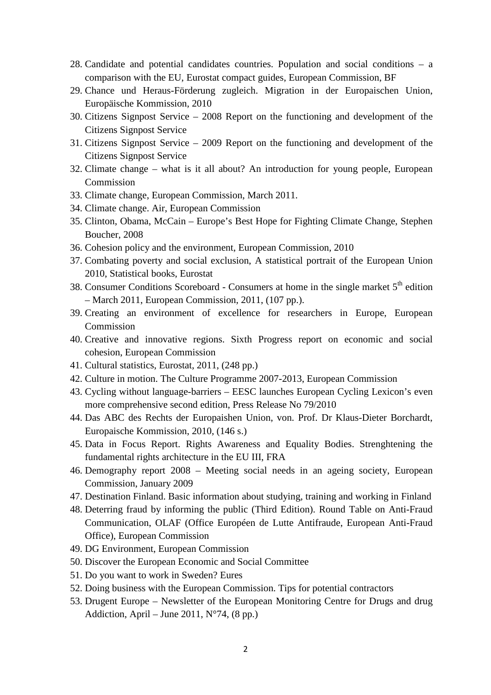- 28. Candidate and potential candidates countries. Population and social conditions a comparison with the EU, Eurostat compact guides, European Commission, BF
- 29. Chance und Heraus-Förderung zugleich. Migration in der Europaischen Union, Europäische Kommission, 2010
- 30. Citizens Signpost Service 2008 Report on the functioning and development of the Citizens Signpost Service
- 31. Citizens Signpost Service 2009 Report on the functioning and development of the Citizens Signpost Service
- 32. Climate change what is it all about? An introduction for young people, European Commission
- 33. Climate change, European Commission, March 2011.
- 34. Climate change. Air, European Commission
- 35. Clinton, Obama, McCain Europe's Best Hope for Fighting Climate Change, Stephen Boucher, 2008
- 36. Cohesion policy and the environment, European Commission, 2010
- 37. Combating poverty and social exclusion, A statistical portrait of the European Union 2010, Statistical books, Eurostat
- 38. Consumer Conditions Scoreboard Consumers at home in the single market  $5<sup>th</sup>$  edition – March 2011, European Commission, 2011, (107 pp.).
- 39. Creating an environment of excellence for researchers in Europe, European Commission
- 40. Creative and innovative regions. Sixth Progress report on economic and social cohesion, European Commission
- 41. Cultural statistics, Eurostat, 2011, (248 pp.)
- 42. Culture in motion. The Culture Programme 2007-2013, European Commission
- 43. Cycling without language-barriers EESC launches European Cycling Lexicon's even more comprehensive second edition, Press Release No 79/2010
- 44. Das ABC des Rechts der Europaishen Union, von. Prof. Dr Klaus-Dieter Borchardt, Europaische Kommission, 2010, (146 s.)
- 45. Data in Focus Report. Rights Awareness and Equality Bodies. Strenghtening the fundamental rights architecture in the EU III, FRA
- 46. Demography report 2008 Meeting social needs in an ageing society, European Commission, January 2009
- 47. Destination Finland. Basic information about studying, training and working in Finland
- 48. Deterring fraud by informing the public (Third Edition). Round Table on Anti-Fraud Communication, OLAF (Office Européen de Lutte Antifraude, European Anti-Fraud Office), European Commission
- 49. DG Environment, European Commission
- 50. Discover the European Economic and Social Committee
- 51. Do you want to work in Sweden? Eures
- 52. Doing business with the European Commission. Tips for potential contractors
- 53. Drugent Europe Newsletter of the European Monitoring Centre for Drugs and drug Addiction, April – June 2011,  $N^{\circ}74$ , (8 pp.)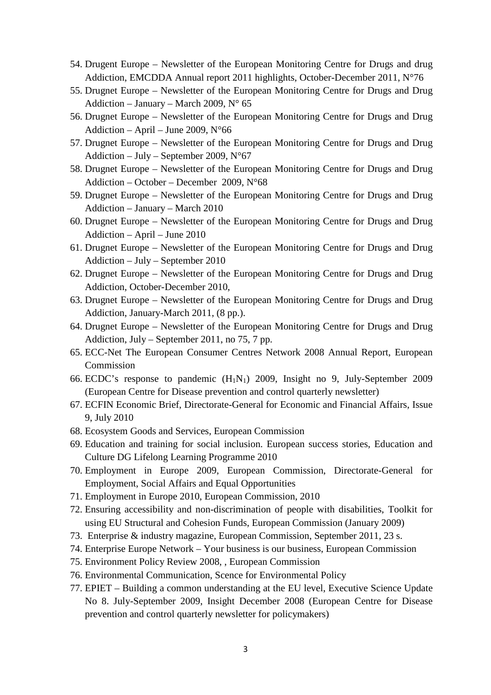- 54. Drugent Europe Newsletter of the European Monitoring Centre for Drugs and drug Addiction, EMCDDA Annual report 2011 highlights, October-December 2011, N°76
- 55. Drugnet Europe Newsletter of the European Monitoring Centre for Drugs and Drug Addiction – January – March 2009,  $N^{\circ}$  65
- 56. Drugnet Europe Newsletter of the European Monitoring Centre for Drugs and Drug Addiction – April – June 2009,  $N^{\circ}66$
- 57. Drugnet Europe Newsletter of the European Monitoring Centre for Drugs and Drug Addiction – July – September 2009,  $N^{\circ}67$
- 58. Drugnet Europe Newsletter of the European Monitoring Centre for Drugs and Drug Addiction – October – December 2009, N°68
- 59. Drugnet Europe Newsletter of the European Monitoring Centre for Drugs and Drug Addiction – January – March 2010
- 60. Drugnet Europe Newsletter of the European Monitoring Centre for Drugs and Drug Addiction – April – June 2010
- 61. Drugnet Europe Newsletter of the European Monitoring Centre for Drugs and Drug Addiction – July – September 2010
- 62. Drugnet Europe Newsletter of the European Monitoring Centre for Drugs and Drug Addiction, October-December 2010,
- 63. Drugnet Europe Newsletter of the European Monitoring Centre for Drugs and Drug Addiction, January-March 2011, (8 pp.).
- 64. Drugnet Europe Newsletter of the European Monitoring Centre for Drugs and Drug Addiction, July – September 2011, no 75, 7 pp.
- 65. ECC-Net The European Consumer Centres Network 2008 Annual Report, European Commission
- 66. ECDC's response to pandemic  $(H_1N_1)$  2009, Insight no 9, July-September 2009 (European Centre for Disease prevention and control quarterly newsletter)
- 67. ECFIN Economic Brief, Directorate-General for Economic and Financial Affairs, Issue 9, July 2010
- 68. Ecosystem Goods and Services, European Commission
- 69. Education and training for social inclusion. European success stories, Education and Culture DG Lifelong Learning Programme 2010
- 70. Employment in Europe 2009, European Commission, Directorate-General for Employment, Social Affairs and Equal Opportunities
- 71. Employment in Europe 2010, European Commission, 2010
- 72. Ensuring accessibility and non-discrimination of people with disabilities, Toolkit for using EU Structural and Cohesion Funds, European Commission (January 2009)
- 73. Enterprise & industry magazine, European Commission, September 2011, 23 s.
- 74. Enterprise Europe Network Your business is our business, European Commission
- 75. Environment Policy Review 2008, , European Commission
- 76. Environmental Communication, Scence for Environmental Policy
- 77. EPIET Building a common understanding at the EU level, Executive Science Update No 8. July-September 2009, Insight December 2008 (European Centre for Disease prevention and control quarterly newsletter for policymakers)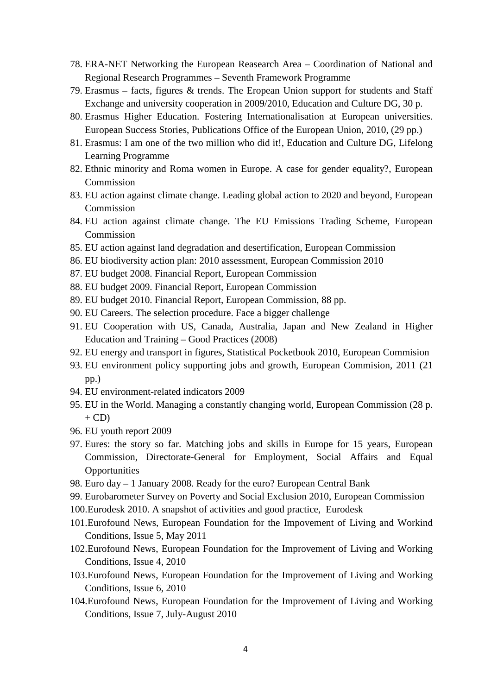- 78. ERA-NET Networking the European Reasearch Area Coordination of National and Regional Research Programmes – Seventh Framework Programme
- 79. Erasmus facts, figures & trends. The Eropean Union support for students and Staff Exchange and university cooperation in 2009/2010, Education and Culture DG, 30 p.
- 80. Erasmus Higher Education. Fostering Internationalisation at European universities. European Success Stories, Publications Office of the European Union, 2010, (29 pp.)
- 81. Erasmus: I am one of the two million who did it!, Education and Culture DG, Lifelong Learning Programme
- 82. Ethnic minority and Roma women in Europe. A case for gender equality?, European Commission
- 83. EU action against climate change. Leading global action to 2020 and beyond, European Commission
- 84. EU action against climate change. The EU Emissions Trading Scheme, European Commission
- 85. EU action against land degradation and desertification, European Commission
- 86. EU biodiversity action plan: 2010 assessment, European Commission 2010
- 87. EU budget 2008. Financial Report, European Commission
- 88. EU budget 2009. Financial Report, European Commission
- 89. EU budget 2010. Financial Report, European Commission, 88 pp.
- 90. EU Careers. The selection procedure. Face a bigger challenge
- 91. EU Cooperation with US, Canada, Australia, Japan and New Zealand in Higher Education and Training – Good Practices (2008)
- 92. EU energy and transport in figures, Statistical Pocketbook 2010, European Commision
- 93. EU environment policy supporting jobs and growth, European Commision, 2011 (21 pp.)
- 94. EU environment-related indicators 2009
- 95. EU in the World. Managing a constantly changing world, European Commission (28 p.  $+$  CD)
- 96. EU youth report 2009
- 97. Eures: the story so far. Matching jobs and skills in Europe for 15 years, European Commission, Directorate-General for Employment, Social Affairs and Equal **Opportunities**
- 98. Euro day 1 January 2008. Ready for the euro? European Central Bank
- 99. Eurobarometer Survey on Poverty and Social Exclusion 2010, European Commission
- 100.Eurodesk 2010. A snapshot of activities and good practice, Eurodesk
- 101.Eurofound News, European Foundation for the Impovement of Living and Workind Conditions, Issue 5, May 2011
- 102.Eurofound News, European Foundation for the Improvement of Living and Working Conditions, Issue 4, 2010
- 103.Eurofound News, European Foundation for the Improvement of Living and Working Conditions, Issue 6, 2010
- 104.Eurofound News, European Foundation for the Improvement of Living and Working Conditions, Issue 7, July-August 2010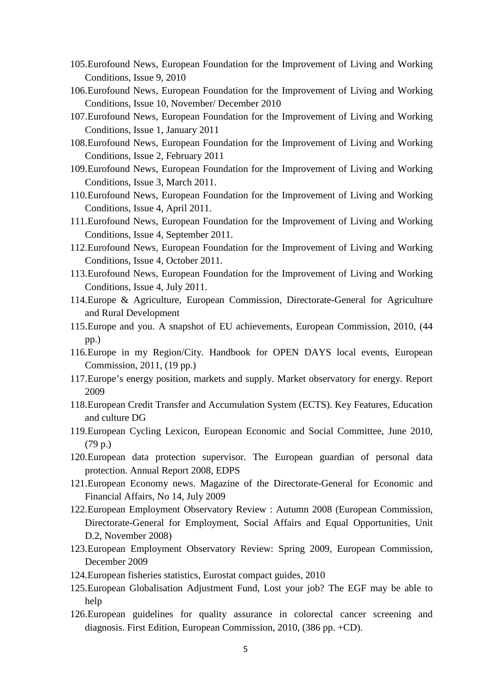- 105.Eurofound News, European Foundation for the Improvement of Living and Working Conditions, Issue 9, 2010
- 106.Eurofound News, European Foundation for the Improvement of Living and Working Conditions, Issue 10, November/ December 2010
- 107.Eurofound News, European Foundation for the Improvement of Living and Working Conditions, Issue 1, January 2011
- 108.Eurofound News, European Foundation for the Improvement of Living and Working Conditions, Issue 2, February 2011
- 109.Eurofound News, European Foundation for the Improvement of Living and Working Conditions, Issue 3, March 2011.
- 110.Eurofound News, European Foundation for the Improvement of Living and Working Conditions, Issue 4, April 2011.
- 111.Eurofound News, European Foundation for the Improvement of Living and Working Conditions, Issue 4, September 2011.
- 112.Eurofound News, European Foundation for the Improvement of Living and Working Conditions, Issue 4, October 2011.
- 113.Eurofound News, European Foundation for the Improvement of Living and Working Conditions, Issue 4, July 2011.
- 114.Europe & Agriculture, European Commission, Directorate-General for Agriculture and Rural Development
- 115.Europe and you. A snapshot of EU achievements, European Commission, 2010, (44 pp.)
- 116.Europe in my Region/City. Handbook for OPEN DAYS local events, European Commission, 2011, (19 pp.)
- 117.Europe's energy position, markets and supply. Market observatory for energy. Report 2009
- 118.European Credit Transfer and Accumulation System (ECTS). Key Features, Education and culture DG
- 119.European Cycling Lexicon, European Economic and Social Committee, June 2010, (79 p.)
- 120.European data protection supervisor. The European guardian of personal data protection. Annual Report 2008, EDPS
- 121.European Economy news. Magazine of the Directorate-General for Economic and Financial Affairs, No 14, July 2009
- 122.European Employment Observatory Review : Autumn 2008 (European Commission, Directorate-General for Employment, Social Affairs and Equal Opportunities, Unit D.2, November 2008)
- 123.European Employment Observatory Review: Spring 2009, European Commission, December 2009
- 124.European fisheries statistics, Eurostat compact guides, 2010
- 125.European Globalisation Adjustment Fund, Lost your job? The EGF may be able to help
- 126.European guidelines for quality assurance in colorectal cancer screening and diagnosis. First Edition, European Commission, 2010, (386 pp. +CD).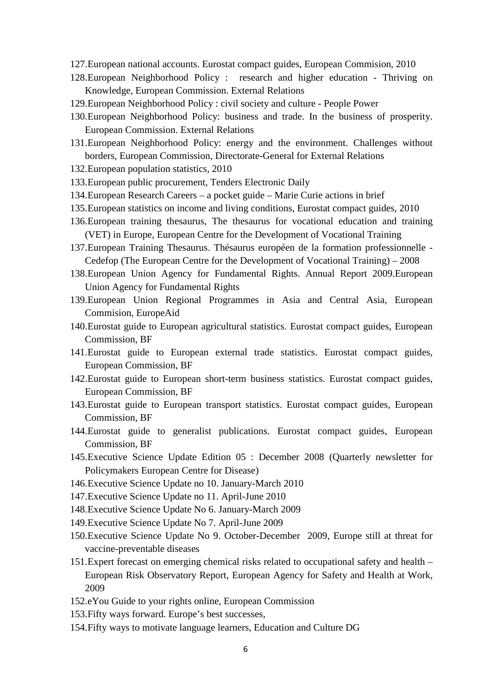- 127.European national accounts. Eurostat compact guides, European Commision, 2010
- 128.European Neighborhood Policy : research and higher education Thriving on Knowledge, European Commission. External Relations
- 129.European Neighborhood Policy : civil society and culture People Power
- 130.European Neighborhood Policy: business and trade. In the business of prosperity. European Commission. External Relations
- 131.European Neighborhood Policy: energy and the environment. Challenges without borders, European Commission, Directorate-General for External Relations
- 132.European population statistics, 2010
- 133.European public procurement, Tenders Electronic Daily
- 134.European Research Careers a pocket guide Marie Curie actions in brief
- 135.European statistics on income and living conditions, Eurostat compact guides, 2010
- 136.European training thesaurus, The thesaurus for vocational education and training (VET) in Europe, European Centre for the Development of Vocational Training
- 137.European Training Thesaurus. Thésaurus européen de la formation professionnelle Cedefop (The European Centre for the Development of Vocational Training) – 2008
- 138.European Union Agency for Fundamental Rights. Annual Report 2009.European Union Agency for Fundamental Rights
- 139.European Union Regional Programmes in Asia and Central Asia, European Commision, EuropeAid
- 140.Eurostat guide to European agricultural statistics. Eurostat compact guides, European Commission, BF
- 141.Eurostat guide to European external trade statistics. Eurostat compact guides, European Commission, BF
- 142.Eurostat guide to European short-term business statistics. Eurostat compact guides, European Commission, BF
- 143.Eurostat guide to European transport statistics. Eurostat compact guides, European Commission, BF
- 144.Eurostat guide to generalist publications. Eurostat compact guides, European Commission, BF
- 145.Executive Science Update Edition 05 : December 2008 (Quarterly newsletter for Policymakers European Centre for Disease)
- 146.Executive Science Update no 10. January-March 2010
- 147.Executive Science Update no 11. April-June 2010
- 148.Executive Science Update No 6. January-March 2009
- 149.Executive Science Update No 7. April-June 2009
- 150.Executive Science Update No 9. October-December 2009, Europe still at threat for vaccine-preventable diseases
- 151.Expert forecast on emerging chemical risks related to occupational safety and health European Risk Observatory Report, European Agency for Safety and Health at Work, 2009
- 152.eYou Guide to your rights online, European Commission
- 153.Fifty ways forward. Europe's best successes,
- 154.Fifty ways to motivate language learners, Education and Culture DG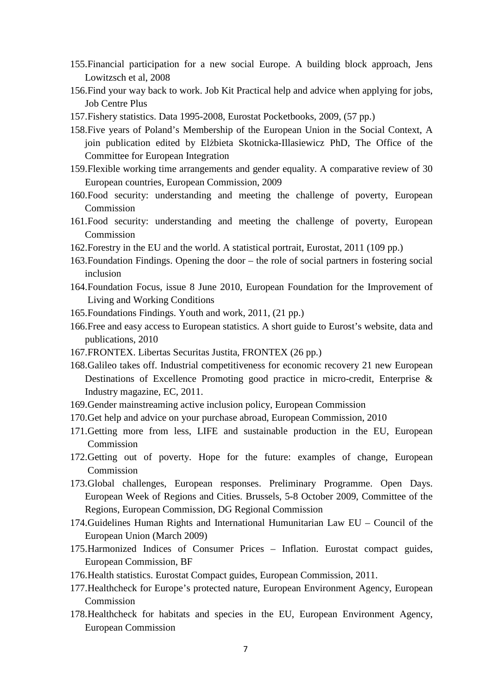- 155.Financial participation for a new social Europe. A building block approach, Jens Lowitzsch et al, 2008
- 156.Find your way back to work. Job Kit Practical help and advice when applying for jobs, Job Centre Plus
- 157.Fishery statistics. Data 1995-2008, Eurostat Pocketbooks, 2009, (57 pp.)
- 158.Five years of Poland's Membership of the European Union in the Social Context, A join publication edited by Elżbieta Skotnicka-Illasiewicz PhD, The Office of the Committee for European Integration
- 159.Flexible working time arrangements and gender equality. A comparative review of 30 European countries, European Commission, 2009
- 160.Food security: understanding and meeting the challenge of poverty, European Commission
- 161.Food security: understanding and meeting the challenge of poverty, European Commission
- 162.Forestry in the EU and the world. A statistical portrait, Eurostat, 2011 (109 pp.)
- 163.Foundation Findings. Opening the door the role of social partners in fostering social inclusion
- 164.Foundation Focus, issue 8 June 2010, European Foundation for the Improvement of Living and Working Conditions
- 165.Foundations Findings. Youth and work, 2011, (21 pp.)
- 166.Free and easy access to European statistics. A short guide to Eurost's website, data and publications, 2010
- 167.FRONTEX. Libertas Securitas Justita, FRONTEX (26 pp.)
- 168.Galileo takes off. Industrial competitiveness for economic recovery 21 new European Destinations of Excellence Promoting good practice in micro-credit, Enterprise & Industry magazine, EC, 2011.
- 169.Gender mainstreaming active inclusion policy, European Commission
- 170.Get help and advice on your purchase abroad, European Commission, 2010
- 171.Getting more from less, LIFE and sustainable production in the EU, European **Commission**
- 172.Getting out of poverty. Hope for the future: examples of change, European Commission
- 173.Global challenges, European responses. Preliminary Programme. Open Days. European Week of Regions and Cities. Brussels, 5-8 October 2009, Committee of the Regions, European Commission, DG Regional Commission
- 174.Guidelines Human Rights and International Humunitarian Law EU Council of the European Union (March 2009)
- 175.Harmonized Indices of Consumer Prices Inflation. Eurostat compact guides, European Commission, BF
- 176.Health statistics. Eurostat Compact guides, European Commission, 2011.
- 177.Healthcheck for Europe's protected nature, European Environment Agency, European Commission
- 178.Healthcheck for habitats and species in the EU, European Environment Agency, European Commission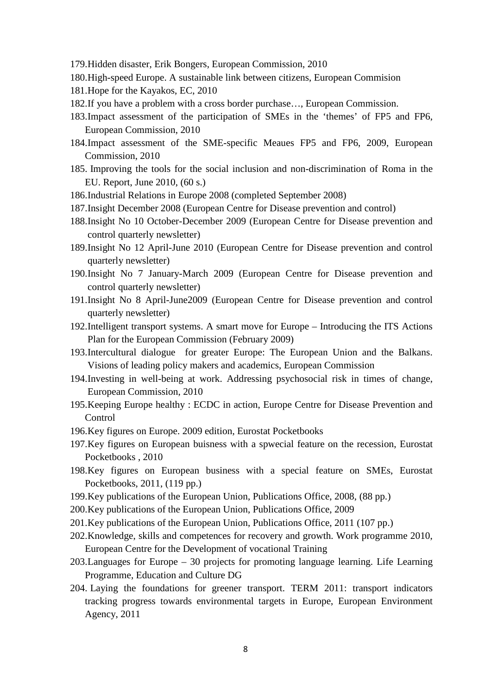- 179.Hidden disaster, Erik Bongers, European Commission, 2010
- 180.High-speed Europe. A sustainable link between citizens, European Commision
- 181.Hope for the Kayakos, EC, 2010
- 182.If you have a problem with a cross border purchase…, European Commission.
- 183.Impact assessment of the participation of SMEs in the 'themes' of FP5 and FP6, European Commission, 2010
- 184.Impact assessment of the SME-specific Meaues FP5 and FP6, 2009, European Commission, 2010
- 185. Improving the tools for the social inclusion and non-discrimination of Roma in the EU. Report, June 2010, (60 s.)
- 186.Industrial Relations in Europe 2008 (completed September 2008)
- 187.Insight December 2008 (European Centre for Disease prevention and control)
- 188.Insight No 10 October-December 2009 (European Centre for Disease prevention and control quarterly newsletter)
- 189.Insight No 12 April-June 2010 (European Centre for Disease prevention and control quarterly newsletter)
- 190.Insight No 7 January-March 2009 (European Centre for Disease prevention and control quarterly newsletter)
- 191.Insight No 8 April-June2009 (European Centre for Disease prevention and control quarterly newsletter)
- 192.Intelligent transport systems. A smart move for Europe Introducing the ITS Actions Plan for the European Commission (February 2009)
- 193.Intercultural dialogue for greater Europe: The European Union and the Balkans. Visions of leading policy makers and academics, European Commission
- 194.Investing in well-being at work. Addressing psychosocial risk in times of change, European Commission, 2010
- 195.Keeping Europe healthy : ECDC in action, Europe Centre for Disease Prevention and Control
- 196.Key figures on Europe. 2009 edition, Eurostat Pocketbooks
- 197.Key figures on European buisness with a spwecial feature on the recession, Eurostat Pocketbooks , 2010
- 198.Key figures on European business with a special feature on SMEs, Eurostat Pocketbooks, 2011, (119 pp.)
- 199.Key publications of the European Union, Publications Office, 2008, (88 pp.)
- 200.Key publications of the European Union, Publications Office, 2009
- 201.Key publications of the European Union, Publications Office, 2011 (107 pp.)
- 202.Knowledge, skills and competences for recovery and growth. Work programme 2010, European Centre for the Development of vocational Training
- 203.Languages for Europe 30 projects for promoting language learning. Life Learning Programme, Education and Culture DG
- 204. Laying the foundations for greener transport. TERM 2011: transport indicators tracking progress towards environmental targets in Europe, European Environment Agency, 2011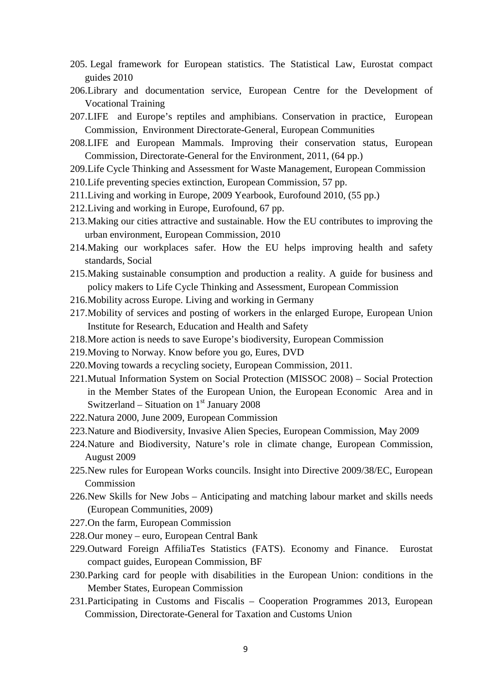- 205. Legal framework for European statistics. The Statistical Law, Eurostat compact guides 2010
- 206.Library and documentation service, European Centre for the Development of Vocational Training
- 207.LIFE and Europe's reptiles and amphibians. Conservation in practice, European Commission, Environment Directorate-General, European Communities
- 208.LIFE and European Mammals. Improving their conservation status, European Commission, Directorate-General for the Environment, 2011, (64 pp.)
- 209.Life Cycle Thinking and Assessment for Waste Management, European Commission
- 210.Life preventing species extinction, European Commission, 57 pp.
- 211.Living and working in Europe, 2009 Yearbook, Eurofound 2010, (55 pp.)
- 212.Living and working in Europe, Eurofound, 67 pp.
- 213.Making our cities attractive and sustainable. How the EU contributes to improving the urban environment, European Commission, 2010
- 214.Making our workplaces safer. How the EU helps improving health and safety standards, Social
- 215.Making sustainable consumption and production a reality. A guide for business and policy makers to Life Cycle Thinking and Assessment, European Commission
- 216.Mobility across Europe. Living and working in Germany
- 217.Mobility of services and posting of workers in the enlarged Europe, European Union Institute for Research, Education and Health and Safety
- 218.More action is needs to save Europe's biodiversity, European Commission
- 219.Moving to Norway. Know before you go, Eures, DVD
- 220.Moving towards a recycling society, European Commission, 2011.
- 221.Mutual Information System on Social Protection (MISSOC 2008) Social Protection in the Member States of the European Union, the European Economic Area and in Switzerland – Situation on  $1<sup>st</sup>$  January 2008
- 222.Natura 2000, June 2009, European Commission
- 223.Nature and Biodiversity, Invasive Alien Species, European Commission, May 2009
- 224.Nature and Biodiversity, Nature's role in climate change, European Commission, August 2009
- 225.New rules for European Works councils. Insight into Directive 2009/38/EC, European Commission
- 226.New Skills for New Jobs Anticipating and matching labour market and skills needs (European Communities, 2009)
- 227.On the farm, European Commission
- 228.Our money euro, European Central Bank
- 229.Outward Foreign AffiliaTes Statistics (FATS). Economy and Finance. Eurostat compact guides, European Commission, BF
- 230.Parking card for people with disabilities in the European Union: conditions in the Member States, European Commission
- 231.Participating in Customs and Fiscalis Cooperation Programmes 2013, European Commission, Directorate-General for Taxation and Customs Union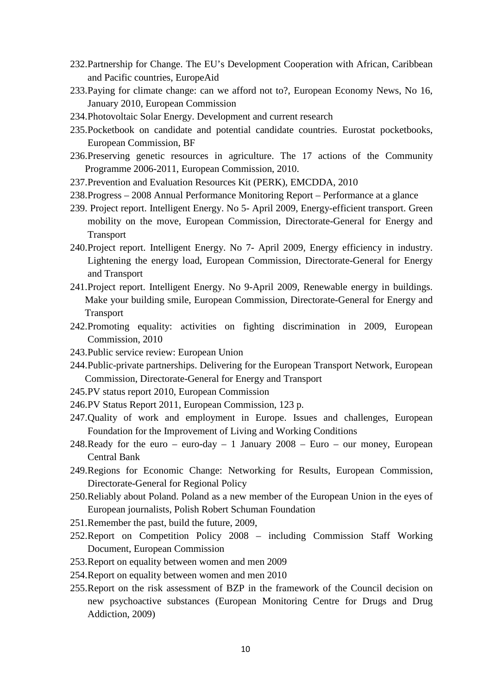- 232.Partnership for Change. The EU's Development Cooperation with African, Caribbean and Pacific countries, EuropeAid
- 233.Paying for climate change: can we afford not to?, European Economy News, No 16, January 2010, European Commission
- 234.Photovoltaic Solar Energy. Development and current research
- 235.Pocketbook on candidate and potential candidate countries. Eurostat pocketbooks, European Commission, BF
- 236.Preserving genetic resources in agriculture. The 17 actions of the Community Programme 2006-2011, European Commission, 2010.
- 237.Prevention and Evaluation Resources Kit (PERK), EMCDDA, 2010
- 238.Progress 2008 Annual Performance Monitoring Report Performance at a glance
- 239. Project report. Intelligent Energy. No 5- April 2009, Energy-efficient transport. Green mobility on the move, European Commission, Directorate-General for Energy and **Transport**
- 240.Project report. Intelligent Energy. No 7- April 2009, Energy efficiency in industry. Lightening the energy load, European Commission, Directorate-General for Energy and Transport
- 241.Project report. Intelligent Energy. No 9-April 2009, Renewable energy in buildings. Make your building smile, European Commission, Directorate-General for Energy and Transport
- 242.Promoting equality: activities on fighting discrimination in 2009, European Commission, 2010
- 243.Public service review: European Union
- 244.Public-private partnerships. Delivering for the European Transport Network, European Commission, Directorate-General for Energy and Transport
- 245.PV status report 2010, European Commission
- 246.PV Status Report 2011, European Commission, 123 p.
- 247.Quality of work and employment in Europe. Issues and challenges, European Foundation for the Improvement of Living and Working Conditions
- 248.Ready for the euro euro-day 1 January 2008 Euro our money, European Central Bank
- 249.Regions for Economic Change: Networking for Results, European Commission, Directorate-General for Regional Policy
- 250.Reliably about Poland. Poland as a new member of the European Union in the eyes of European journalists, Polish Robert Schuman Foundation
- 251.Remember the past, build the future, 2009,
- 252.Report on Competition Policy 2008 including Commission Staff Working Document, European Commission
- 253.Report on equality between women and men 2009
- 254.Report on equality between women and men 2010
- 255.Report on the risk assessment of BZP in the framework of the Council decision on new psychoactive substances (European Monitoring Centre for Drugs and Drug Addiction, 2009)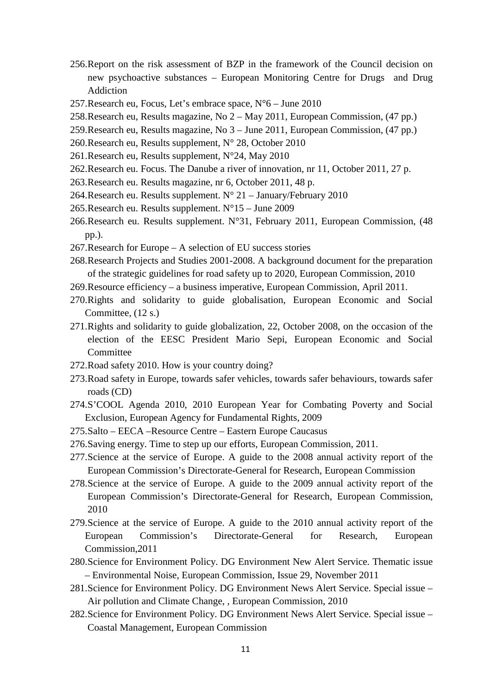- 256.Report on the risk assessment of BZP in the framework of the Council decision on new psychoactive substances – European Monitoring Centre for Drugs and Drug Addiction
- 257.Research eu, Focus, Let's embrace space, N°6 June 2010
- 258.Research eu, Results magazine, No 2 May 2011, European Commission, (47 pp.)
- 259.Research eu, Results magazine, No 3 June 2011, European Commission, (47 pp.)
- 260.Research eu, Results supplement, N° 28, October 2010
- 261.Research eu, Results supplement, N°24, May 2010
- 262.Research eu. Focus. The Danube a river of innovation, nr 11, October 2011, 27 p.
- 263.Research eu. Results magazine, nr 6, October 2011, 48 p.
- 264. Research eu. Results supplement.  $N^{\circ}$  21 January/February 2010
- 265.Research eu. Results supplement. N°15 June 2009
- 266.Research eu. Results supplement. N°31, February 2011, European Commission, (48 pp.).
- 267.Research for Europe A selection of EU success stories
- 268.Research Projects and Studies 2001-2008. A background document for the preparation of the strategic guidelines for road safety up to 2020, European Commission, 2010
- 269.Resource efficiency a business imperative, European Commission, April 2011.
- 270.Rights and solidarity to guide globalisation, European Economic and Social Committee, (12 s.)
- 271.Rights and solidarity to guide globalization, 22, October 2008, on the occasion of the election of the EESC President Mario Sepi, European Economic and Social Committee
- 272.Road safety 2010. How is your country doing?
- 273.Road safety in Europe, towards safer vehicles, towards safer behaviours, towards safer roads (CD)
- 274.S'COOL Agenda 2010, 2010 European Year for Combating Poverty and Social Exclusion, European Agency for Fundamental Rights, 2009
- 275.Salto EECA –Resource Centre Eastern Europe Caucasus
- 276.Saving energy. Time to step up our efforts, European Commission, 2011.
- 277.Science at the service of Europe. A guide to the 2008 annual activity report of the European Commission's Directorate-General for Research, European Commission
- 278.Science at the service of Europe. A guide to the 2009 annual activity report of the European Commission's Directorate-General for Research, European Commission, 2010
- 279.Science at the service of Europe. A guide to the 2010 annual activity report of the European Commission's Directorate-General for Research, European Commission,2011
- 280.Science for Environment Policy. DG Environment New Alert Service. Thematic issue – Environmental Noise, European Commission, Issue 29, November 2011
- 281.Science for Environment Policy. DG Environment News Alert Service. Special issue Air pollution and Climate Change, , European Commission, 2010
- 282.Science for Environment Policy. DG Environment News Alert Service. Special issue Coastal Management, European Commission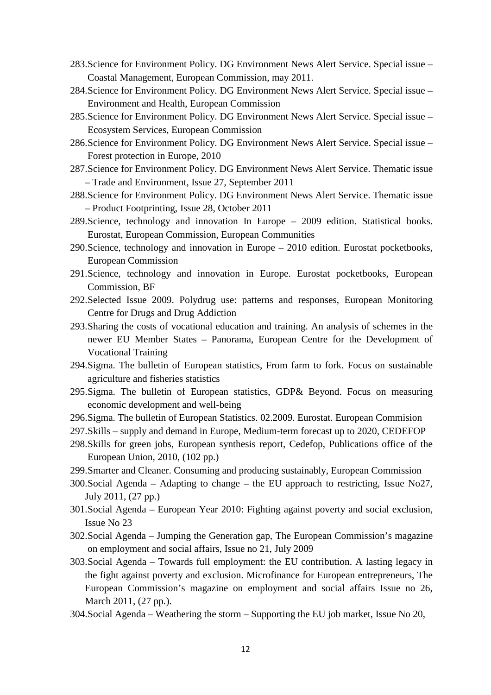- 283.Science for Environment Policy. DG Environment News Alert Service. Special issue Coastal Management, European Commission, may 2011.
- 284.Science for Environment Policy. DG Environment News Alert Service. Special issue Environment and Health, European Commission
- 285.Science for Environment Policy. DG Environment News Alert Service. Special issue Ecosystem Services, European Commission
- 286.Science for Environment Policy. DG Environment News Alert Service. Special issue Forest protection in Europe, 2010
- 287.Science for Environment Policy. DG Environment News Alert Service. Thematic issue – Trade and Environment, Issue 27, September 2011
- 288.Science for Environment Policy. DG Environment News Alert Service. Thematic issue – Product Footprinting, Issue 28, October 2011
- 289.Science, technology and innovation In Europe 2009 edition. Statistical books. Eurostat, European Commission, European Communities
- 290.Science, technology and innovation in Europe 2010 edition. Eurostat pocketbooks, European Commission
- 291.Science, technology and innovation in Europe. Eurostat pocketbooks, European Commission, BF
- 292.Selected Issue 2009. Polydrug use: patterns and responses, European Monitoring Centre for Drugs and Drug Addiction
- 293.Sharing the costs of vocational education and training. An analysis of schemes in the newer EU Member States – Panorama, European Centre for the Development of Vocational Training
- 294.Sigma. The bulletin of European statistics, From farm to fork. Focus on sustainable agriculture and fisheries statistics
- 295.Sigma. The bulletin of European statistics, GDP& Beyond. Focus on measuring economic development and well-being
- 296.Sigma. The bulletin of European Statistics. 02.2009. Eurostat. European Commision
- 297.Skills supply and demand in Europe, Medium-term forecast up to 2020, CEDEFOP
- 298.Skills for green jobs, European synthesis report, Cedefop, Publications office of the European Union, 2010, (102 pp.)
- 299.Smarter and Cleaner. Consuming and producing sustainably, European Commission
- 300.Social Agenda Adapting to change the EU approach to restricting, Issue No27, July 2011, (27 pp.)
- 301.Social Agenda European Year 2010: Fighting against poverty and social exclusion, Issue No 23
- 302.Social Agenda Jumping the Generation gap, The European Commission's magazine on employment and social affairs, Issue no 21, July 2009
- 303.Social Agenda Towards full employment: the EU contribution. A lasting legacy in the fight against poverty and exclusion. Microfinance for European entrepreneurs, The European Commission's magazine on employment and social affairs Issue no 26, March 2011, (27 pp.).
- 304.Social Agenda Weathering the storm Supporting the EU job market, Issue No 20,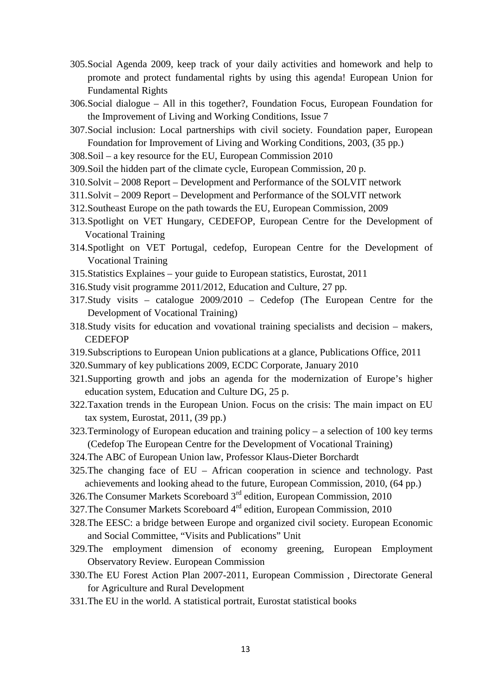- 305.Social Agenda 2009, keep track of your daily activities and homework and help to promote and protect fundamental rights by using this agenda! European Union for Fundamental Rights
- 306.Social dialogue All in this together?, Foundation Focus, European Foundation for the Improvement of Living and Working Conditions, Issue 7
- 307.Social inclusion: Local partnerships with civil society. Foundation paper, European Foundation for Improvement of Living and Working Conditions, 2003, (35 pp.)
- 308.Soil a key resource for the EU, European Commission 2010
- 309.Soil the hidden part of the climate cycle, European Commission, 20 p.
- 310.Solvit 2008 Report Development and Performance of the SOLVIT network
- 311.Solvit 2009 Report Development and Performance of the SOLVIT network
- 312.Southeast Europe on the path towards the EU, European Commission, 2009
- 313.Spotlight on VET Hungary, CEDEFOP, European Centre for the Development of Vocational Training
- 314.Spotlight on VET Portugal, cedefop, European Centre for the Development of Vocational Training
- 315.Statistics Explaines your guide to European statistics, Eurostat, 2011
- 316.Study visit programme 2011/2012, Education and Culture, 27 pp.
- 317.Study visits catalogue 2009/2010 Cedefop (The European Centre for the Development of Vocational Training)
- 318.Study visits for education and vovational training specialists and decision makers, CEDEFOP
- 319.Subscriptions to European Union publications at a glance, Publications Office, 2011
- 320.Summary of key publications 2009, ECDC Corporate, January 2010
- 321.Supporting growth and jobs an agenda for the modernization of Europe's higher education system, Education and Culture DG, 25 p.
- 322.Taxation trends in the European Union. Focus on the crisis: The main impact on EU tax system, Eurostat, 2011, (39 pp.)
- 323.Terminology of European education and training policy a selection of 100 key terms (Cedefop The European Centre for the Development of Vocational Training)
- 324.The ABC of European Union law, Professor Klaus-Dieter Borchardt
- 325.The changing face of EU African cooperation in science and technology. Past achievements and looking ahead to the future, European Commission, 2010, (64 pp.)
- 326.The Consumer Markets Scoreboard 3rd edition, European Commission, 2010
- 327.The Consumer Markets Scoreboard 4rd edition, European Commission, 2010
- 328.The EESC: a bridge between Europe and organized civil society. European Economic and Social Committee, "Visits and Publications" Unit
- 329.The employment dimension of economy greening, European Employment Observatory Review. European Commission
- 330.The EU Forest Action Plan 2007-2011, European Commission , Directorate General for Agriculture and Rural Development
- 331.The EU in the world. A statistical portrait, Eurostat statistical books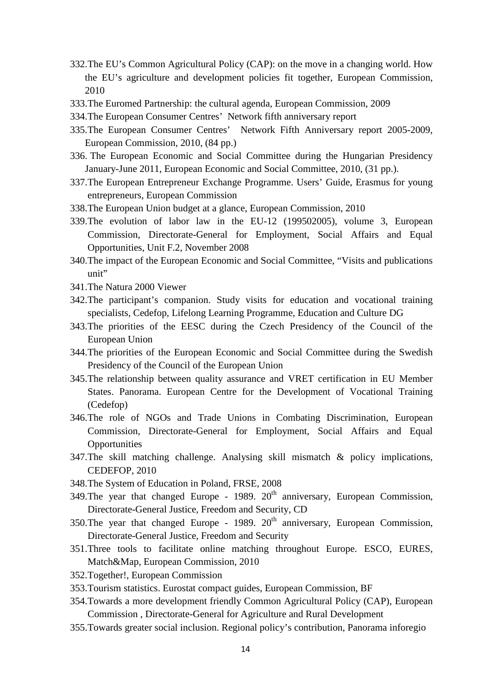- 332.The EU's Common Agricultural Policy (CAP): on the move in a changing world. How the EU's agriculture and development policies fit together, European Commission, 2010
- 333.The Euromed Partnership: the cultural agenda, European Commission, 2009
- 334.The European Consumer Centres' Network fifth anniversary report
- 335.The European Consumer Centres' Network Fifth Anniversary report 2005-2009, European Commission, 2010, (84 pp.)
- 336. The European Economic and Social Committee during the Hungarian Presidency January-June 2011, European Economic and Social Committee, 2010, (31 pp.).
- 337.The European Entrepreneur Exchange Programme. Users' Guide, Erasmus for young entrepreneurs, European Commission
- 338.The European Union budget at a glance, European Commission, 2010
- 339.The evolution of labor law in the EU-12 (199502005), volume 3, European Commission, Directorate-General for Employment, Social Affairs and Equal Opportunities, Unit F.2, November 2008
- 340.The impact of the European Economic and Social Committee, "Visits and publications unit"
- 341.The Natura 2000 Viewer
- 342.The participant's companion. Study visits for education and vocational training specialists, Cedefop, Lifelong Learning Programme, Education and Culture DG
- 343.The priorities of the EESC during the Czech Presidency of the Council of the European Union
- 344.The priorities of the European Economic and Social Committee during the Swedish Presidency of the Council of the European Union
- 345.The relationship between quality assurance and VRET certification in EU Member States. Panorama. European Centre for the Development of Vocational Training (Cedefop)
- 346.The role of NGOs and Trade Unions in Combating Discrimination, European Commission, Directorate-General for Employment, Social Affairs and Equal **Opportunities**
- 347.The skill matching challenge. Analysing skill mismatch & policy implications, CEDEFOP, 2010
- 348.The System of Education in Poland, FRSE, 2008
- 349. The year that changed Europe 1989.  $20<sup>th</sup>$  anniversary, European Commission, Directorate-General Justice, Freedom and Security, CD
- 350. The year that changed Europe 1989.  $20<sup>th</sup>$  anniversary, European Commission, Directorate-General Justice, Freedom and Security
- 351.Three tools to facilitate online matching throughout Europe. ESCO, EURES, Match&Map, European Commission, 2010
- 352.Together!, European Commission
- 353.Tourism statistics. Eurostat compact guides, European Commission, BF
- 354.Towards a more development friendly Common Agricultural Policy (CAP), European Commission , Directorate-General for Agriculture and Rural Development
- 355.Towards greater social inclusion. Regional policy's contribution, Panorama inforegio